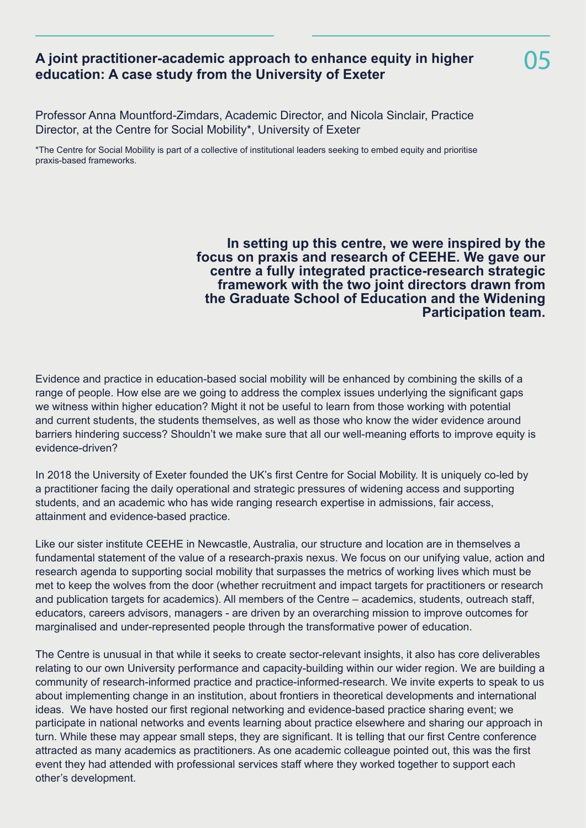## **A joint practitioner-academic approach to enhance equity in higher education: A case study from the University of Exeter**

Professor Anna Mountford-Zimdars, Academic Director, and Nicola Sinclair, Practice Director, at the Centre for Social Mobility\*, University of Exeter

\*The Centre for Social Mobility is part of a collective of institutional leaders seeking to embed equity and prioritise praxis-based frameworks.

> **In setting up this centre, we were inspired by the focus on praxis and research of CEEHE. We gave our centre a fully integrated practice-research strategic framework with the two joint directors drawn from the Graduate School of Education and the Widening Participation team.**

Evidence and practice in education-based social mobility will be enhanced by combining the skills of a range of people. How else are we going to address the complex issues underlying the significant gaps we witness within higher education? Might it not be useful to learn from those working with potential and current students, the students themselves, as well as those who know the wider evidence around barriers hindering success? Shouldn't we make sure that all our well-meaning efforts to improve equity is evidence-driven?

In 2018 the University of Exeter founded the UK's first Centre for Social Mobility. It is uniquely co-led by a practitioner facing the daily operational and strategic pressures of widening access and supporting students, and an academic who has wide ranging research expertise in admissions, fair access, attainment and evidence-based practice.

Like our sister institute CEEHE in Newcastle, Australia, our structure and location are in themselves a fundamental statement of the value of a research-praxis nexus. We focus on our unifying value, action and research agenda to supporting social mobility that surpasses the metrics of working lives which must be met to keep the wolves from the door (whether recruitment and impact targets for practitioners or research and publication targets for academics). All members of the Centre – academics, students, outreach staff, educators, careers advisors, managers - are driven by an overarching mission to improve outcomes for marginalised and under-represented people through the transformative power of education.

The Centre is unusual in that while it seeks to create sector-relevant insights, it also has core deliverables relating to our own University performance and capacity-building within our wider region. We are building a community of research-informed practice and practice-informed-research. We invite experts to speak to us about implementing change in an institution, about frontiers in theoretical developments and international ideas. We have hosted our first regional networking and evidence-based practice sharing event; we participate in national networks and events learning about practice elsewhere and sharing our approach in turn. While these may appear small steps, they are significant. It is telling that our first Centre conference attracted as many academics as practitioners. As one academic colleague pointed out, this was the first event they had attended with professional services staff where they worked together to support each other's development.